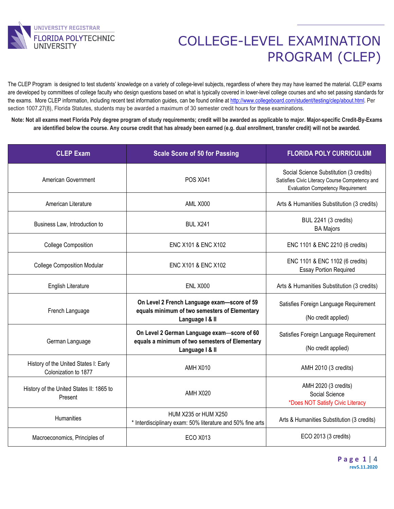

The CLEP Program is designed to test students' knowledge on a variety of college-level subjects, regardless of where they may have learned the material. CLEP exams are developed by committees of college faculty who design questions based on what is typically covered in lower-level college courses and who set passing standards for the exams. More CLEP information, including recent test information guides, can be found online at http://www.collegeboard.com/student/testing/clep/about.html. Per section 1007.27(8), Florida Statutes, students may be awarded a maximum of 30 semester credit hours for these examinations.

**Note: Not all exams meet Florida Poly degree program of study requirements; credit will be awarded as applicable to major. Major-specific Credit-By-Exams are identified below the course. Any course credit that has already been earned (e.g. dual enrollment, transfer credit) will not be awarded.**

| <b>CLEP Exam</b>                                              | <b>Scale Score of 50 for Passing</b>                                                                              | <b>FLORIDA POLY CURRICULUM</b>                                                                                                        |
|---------------------------------------------------------------|-------------------------------------------------------------------------------------------------------------------|---------------------------------------------------------------------------------------------------------------------------------------|
| American Government                                           | <b>POS X041</b>                                                                                                   | Social Science Substitution (3 credits)<br>Satisfies Civic Literacy Course Competency and<br><b>Evaluation Competency Requirement</b> |
| American Literature                                           | <b>AML X000</b>                                                                                                   | Arts & Humanities Substitution (3 credits)                                                                                            |
| Business Law, Introduction to                                 | <b>BUL X241</b>                                                                                                   | <b>BUL 2241 (3 credits)</b><br><b>BA Majors</b>                                                                                       |
| <b>College Composition</b>                                    | ENC X101 & ENC X102                                                                                               | ENC 1101 & ENC 2210 (6 credits)                                                                                                       |
| <b>College Composition Modular</b>                            | ENC X101 & ENC X102                                                                                               | ENC 1101 & ENC 1102 (6 credits)<br><b>Essay Portion Required</b>                                                                      |
| English Literature                                            | <b>ENL X000</b>                                                                                                   | Arts & Humanities Substitution (3 credits)                                                                                            |
| French Language                                               | On Level 2 French Language exam-score of 59<br>equals minimum of two semesters of Elementary<br>Language   & II   | Satisfies Foreign Language Requirement<br>(No credit applied)                                                                         |
| German Language                                               | On Level 2 German Language exam-score of 60<br>equals a minimum of two semesters of Elementary<br>Language   & II | Satisfies Foreign Language Requirement<br>(No credit applied)                                                                         |
| History of the United States I: Early<br>Colonization to 1877 | <b>AMH X010</b>                                                                                                   | AMH 2010 (3 credits)                                                                                                                  |
| History of the United States II: 1865 to<br>Present           | AMH X020                                                                                                          | AMH 2020 (3 credits)<br>Social Science<br>*Does NOT Satisfy Civic Literacy                                                            |
| <b>Humanities</b>                                             | HUM X235 or HUM X250<br>* Interdisciplinary exam: 50% literature and 50% fine arts                                | Arts & Humanities Substitution (3 credits)                                                                                            |
| Macroeconomics, Principles of                                 | <b>ECO X013</b>                                                                                                   | ECO 2013 (3 credits)                                                                                                                  |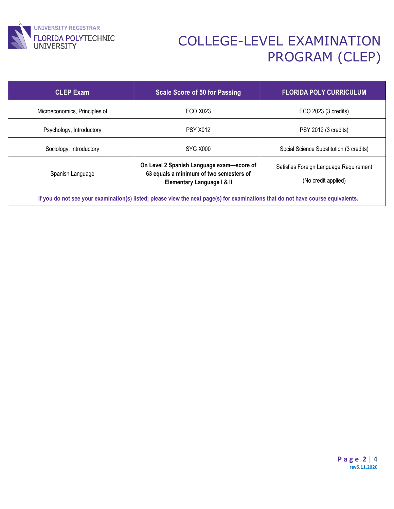

| <b>CLEP Exam</b>              | <b>Scale Score of 50 for Passing</b>                                                                               | <b>FLORIDA POLY CURRICULUM</b>                                |
|-------------------------------|--------------------------------------------------------------------------------------------------------------------|---------------------------------------------------------------|
| Microeconomics, Principles of | ECO X023                                                                                                           | ECO 2023 (3 credits)                                          |
| Psychology, Introductory      | <b>PSY X012</b>                                                                                                    | PSY 2012 (3 credits)                                          |
| Sociology, Introductory       | SYG X000                                                                                                           | Social Science Substitution (3 credits)                       |
| Spanish Language              | On Level 2 Spanish Language exam-score of<br>63 equals a minimum of two semesters of<br>Elementary Language I & II | Satisfies Foreign Language Requirement<br>(No credit applied) |

**If you do not see your examination(s) listed; please view the next page(s) for examinations that do not have course equivalents.**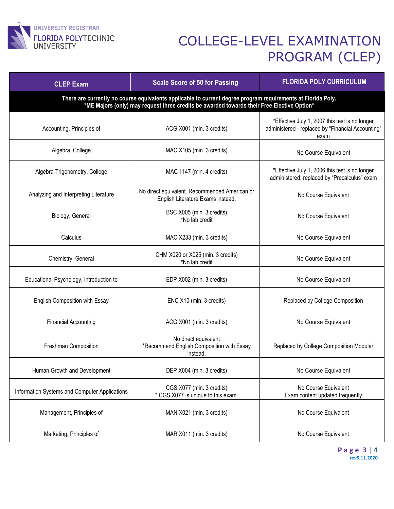

| <b>CLEP Exam</b>                                                                                                                                                                                           | <b>Scale Score of 50 for Passing</b>                                               | <b>FLORIDA POLY CURRICULUM</b>                                                                              |  |  |
|------------------------------------------------------------------------------------------------------------------------------------------------------------------------------------------------------------|------------------------------------------------------------------------------------|-------------------------------------------------------------------------------------------------------------|--|--|
| There are currently no course equivalents applicable to current degree program requirements at Florida Poly.<br>*ME Majors (only) may request three credits be awarded towards their Free Elective Option* |                                                                                    |                                                                                                             |  |  |
| Accounting, Principles of                                                                                                                                                                                  | ACG X001 (min. 3 credits)                                                          | *Effective July 1, 2007 this test is no longer<br>administered - replaced by "Financial Accounting"<br>exam |  |  |
| Algebra, College                                                                                                                                                                                           | MAC X105 (min. 3 credits)                                                          | No Course Equivalent                                                                                        |  |  |
| Algebra-Trigonometry, College                                                                                                                                                                              | MAC 1147 (min. 4 credits)                                                          | *Effective July 1, 2006 this test is no longer<br>administered; replaced by "Precalculus" exam              |  |  |
| Analyzing and Interpreting Literature                                                                                                                                                                      | No direct equivalent. Recommended American or<br>English Literature Exams instead. | No Course Equivalent                                                                                        |  |  |
| Biology, General                                                                                                                                                                                           | BSC X005 (min. 3 credits)<br>*No lab credit                                        | No Course Equivalent                                                                                        |  |  |
| Calculus                                                                                                                                                                                                   | MAC X233 (min. 3 credits)                                                          | No Course Equivalent                                                                                        |  |  |
| Chemistry, General                                                                                                                                                                                         | CHM X020 or X025 (min. 3 credits)<br>*No lab credit                                | No Course Equivalent                                                                                        |  |  |
| Educational Psychology, Introduction to                                                                                                                                                                    | EDP X002 (min. 3 credits)                                                          | No Course Equivalent                                                                                        |  |  |
| English Composition with Essay                                                                                                                                                                             | ENC X10 (min. 3 credits)                                                           | Replaced by College Composition                                                                             |  |  |
| <b>Financial Accounting</b>                                                                                                                                                                                | ACG X001 (min. 3 credits)                                                          | No Course Equivalent                                                                                        |  |  |
| Freshman Composition                                                                                                                                                                                       | No direct equivalent<br>*Recommend English Composition with Essay<br>instead.      | Replaced by College Composition Modular                                                                     |  |  |
| Human Growth and Development                                                                                                                                                                               | DEP X004 (min. 3 credits)                                                          | No Course Equivalent                                                                                        |  |  |
| Information Systems and Computer Applications                                                                                                                                                              | CGS X077 (min. 3 credits)<br>* CGS X077 is unique to this exam.                    | No Course Equivalent<br>Exam content updated frequently                                                     |  |  |
| Management, Principles of                                                                                                                                                                                  | MAN X021 (min. 3 credits)                                                          | No Course Equivalent                                                                                        |  |  |
| Marketing, Principles of                                                                                                                                                                                   | MAR X011 (min. 3 credits)                                                          | No Course Equivalent                                                                                        |  |  |